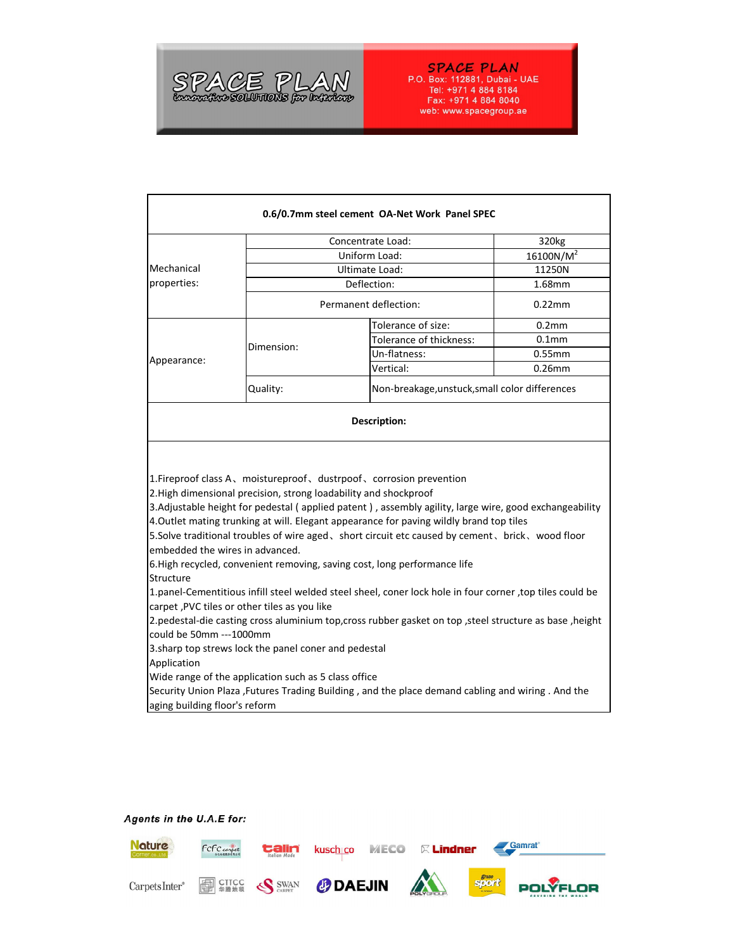

## **SPACE PLAN**<br>P.O. Box: 112881, Dubai - UAE

Tel: +971 4 884 8184<br>Fax: +971 4 884 8184<br>web: www.spacegroup.ae

## Agents in the U.A.E for: